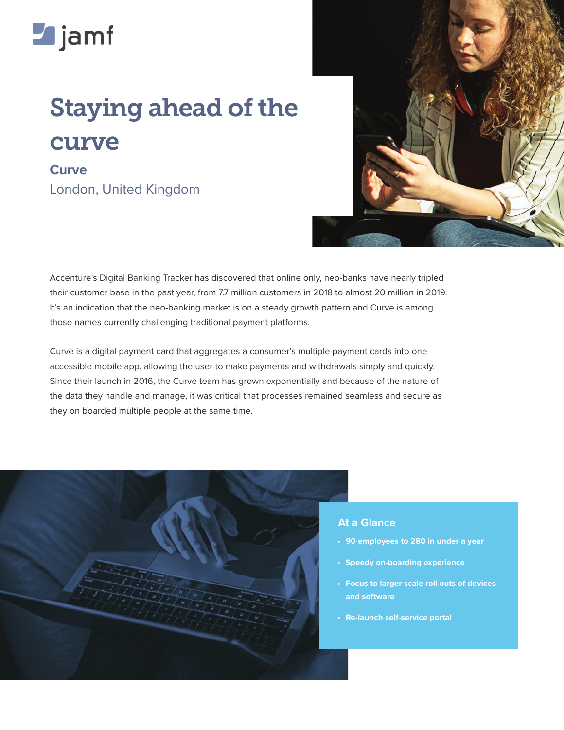

## Staying ahead of the curve

**Curve** London, United Kingdom



Accenture's Digital Banking Tracker has discovered that online only, neo-banks have nearly tripled their customer base in the past year, from 7.7 million customers in 2018 to almost 20 million in 2019. It's an indication that the neo-banking market is on a steady growth pattern and Curve is among those names currently challenging traditional payment platforms.

Curve is a digital payment card that aggregates a consumer's multiple payment cards into one accessible mobile app, allowing the user to make payments and withdrawals simply and quickly. Since their launch in 2016, the Curve team has grown exponentially and because of the nature of the data they handle and manage, it was critical that processes remained seamless and secure as they on boarded multiple people at the same time.



## **At a Glance**

- **• 90 employees to 280 in under a year**
- **• Speedy on-boarding experience**
- **• Focus to larger scale roll outs of devices and software**
- **• Re-launch self-service portal**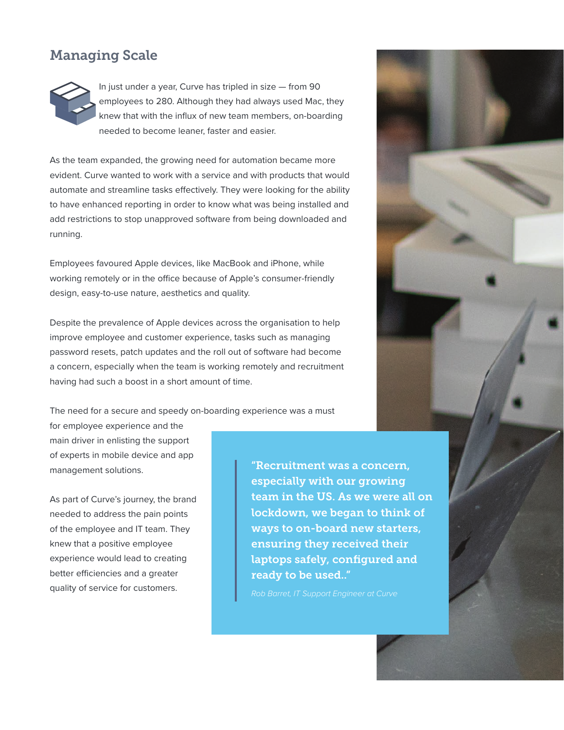## Managing Scale



In just under a year, Curve has tripled in size — from 90 employees to 280. Although they had always used Mac, they knew that with the influx of new team members, on-boarding needed to become leaner, faster and easier.

As the team expanded, the growing need for automation became more evident. Curve wanted to work with a service and with products that would automate and streamline tasks effectively. They were looking for the ability to have enhanced reporting in order to know what was being installed and add restrictions to stop unapproved software from being downloaded and running.

Employees favoured Apple devices, like MacBook and iPhone, while working remotely or in the office because of Apple's consumer-friendly design, easy-to-use nature, aesthetics and quality.

Despite the prevalence of Apple devices across the organisation to help improve employee and customer experience, tasks such as managing password resets, patch updates and the roll out of software had become a concern, especially when the team is working remotely and recruitment having had such a boost in a short amount of time.

The need for a secure and speedy on-boarding experience was a must

for employee experience and the main driver in enlisting the support of experts in mobile device and app management solutions.

As part of Curve's journey, the brand needed to address the pain points of the employee and IT team. They knew that a positive employee experience would lead to creating better efficiencies and a greater quality of service for customers.

"Recruitment was a concern, especially with our growing team in the US. As we were all on lockdown, we began to think of ways to on-board new starters, ensuring they received their laptops safely, configured and ready to be used.."